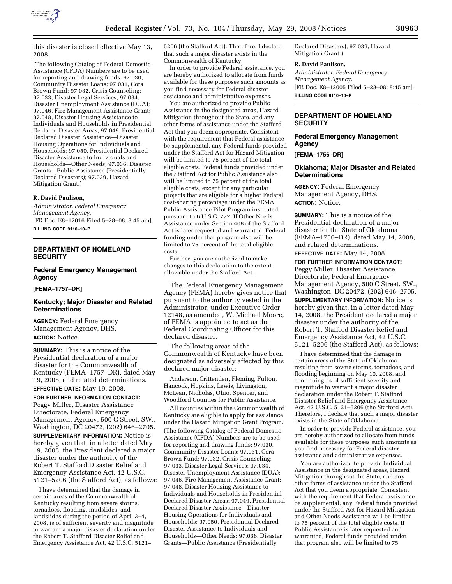

this disaster is closed effective May 13, 2008.

(The following Catalog of Federal Domestic Assistance (CFDA) Numbers are to be used for reporting and drawing funds: 97.030, Community Disaster Loans; 97.031, Cora Brown Fund; 97.032, Crisis Counseling; 97.033, Disaster Legal Services; 97.034, Disaster Unemployment Assistance (DUA); 97.046, Fire Management Assistance Grant; 97.048, Disaster Housing Assistance to Individuals and Households in Presidential Declared Disaster Areas; 97.049, Presidential Declared Disaster Assistance—Disaster Housing Operations for Individuals and Households; 97.050, Presidential Declared Disaster Assistance to Individuals and Households—Other Needs; 97.036, Disaster Grants—Public Assistance (Presidentially Declared Disasters); 97.039, Hazard Mitigation Grant.)

#### **R. David Paulison,**

*Administrator, Federal Emergency Management Agency.*  [FR Doc. E8–12016 Filed 5–28–08; 8:45 am] **BILLING CODE 9110–10–P** 

## **DEPARTMENT OF HOMELAND SECURITY**

# **Federal Emergency Management Agency**

**[FEMA–1757–DR]** 

# **Kentucky; Major Disaster and Related Determinations**

**AGENCY:** Federal Emergency Management Agency, DHS. **ACTION:** Notice.

**SUMMARY:** This is a notice of the Presidential declaration of a major disaster for the Commonwealth of Kentucky (FEMA–1757–DR), dated May 19, 2008, and related determinations.

### **EFFECTIVE DATE:** May 19, 2008.

**FOR FURTHER INFORMATION CONTACT:**  Peggy Miller, Disaster Assistance Directorate, Federal Emergency Management Agency, 500 C Street, SW., Washington, DC 20472, (202) 646–2705. **SUPPLEMENTARY INFORMATION:** Notice is hereby given that, in a letter dated May 19, 2008, the President declared a major disaster under the authority of the

Robert T. Stafford Disaster Relief and Emergency Assistance Act, 42 U.S.C. 5121–5206 (the Stafford Act), as follows:

I have determined that the damage in certain areas of the Commonwealth of Kentucky resulting from severe storms, tornadoes, flooding, mudslides, and landslides during the period of April 3-4, 2008, is of sufficient severity and magnitude to warrant a major disaster declaration under the Robert T. Stafford Disaster Relief and Emergency Assistance Act, 42 U.S.C. 5121–

5206 (the Stafford Act). Therefore, I declare that such a major disaster exists in the Commonwealth of Kentucky.

In order to provide Federal assistance, you are hereby authorized to allocate from funds available for these purposes such amounts as you find necessary for Federal disaster assistance and administrative expenses.

You are authorized to provide Public Assistance in the designated areas, Hazard Mitigation throughout the State, and any other forms of assistance under the Stafford Act that you deem appropriate. Consistent with the requirement that Federal assistance be supplemental, any Federal funds provided under the Stafford Act for Hazard Mitigation will be limited to 75 percent of the total eligible costs. Federal funds provided under the Stafford Act for Public Assistance also will be limited to 75 percent of the total eligible costs, except for any particular projects that are eligible for a higher Federal cost-sharing percentage under the FEMA Public Assistance Pilot Program instituted pursuant to 6 U.S.C. 777. If Other Needs Assistance under Section 408 of the Stafford Act is later requested and warranted, Federal funding under that program also will be limited to 75 percent of the total eligible costs.

Further, you are authorized to make changes to this declaration to the extent allowable under the Stafford Act.

The Federal Emergency Management Agency (FEMA) hereby gives notice that pursuant to the authority vested in the Administrator, under Executive Order 12148, as amended, W. Michael Moore, of FEMA is appointed to act as the Federal Coordinating Officer for this declared disaster.

The following areas of the Commonwealth of Kentucky have been designated as adversely affected by this declared major disaster:

Anderson, Crittenden, Fleming, Fulton, Hancock, Hopkins, Lewis, Livingston, McLean, Nicholas, Ohio, Spencer, and Woodford Counties for Public Assistance.

All counties within the Commonwealth of Kentucky are eligible to apply for assistance under the Hazard Mitigation Grant Program. (The following Catalog of Federal Domestic Assistance (CFDA) Numbers are to be used for reporting and drawing funds: 97.030, Community Disaster Loans; 97.031, Cora Brown Fund; 97.032, Crisis Counseling; 97.033, Disaster Legal Services; 97.034, Disaster Unemployment Assistance (DUA); 97.046, Fire Management Assistance Grant; 97.048, Disaster Housing Assistance to Individuals and Households in Presidential Declared Disaster Areas; 97.049, Presidential Declared Disaster Assistance—Disaster Housing Operations for Individuals and Households; 97.050, Presidential Declared Disaster Assistance to Individuals and Households—Other Needs; 97.036, Disaster Grants—Public Assistance (Presidentially

Declared Disasters); 97.039, Hazard Mitigation Grant.)

### **R. David Paulison,**

*Administrator, Federal Emergency Management Agency.*  [FR Doc. E8–12005 Filed 5–28–08; 8:45 am] **BILLING CODE 9110–10–P** 

## **DEPARTMENT OF HOMELAND SECURITY**

### **Federal Emergency Management Agency**

**[FEMA–1756–DR]** 

## **Oklahoma; Major Disaster and Related Determinations**

**AGENCY:** Federal Emergency Management Agency, DHS. **ACTION:** Notice.

**SUMMARY:** This is a notice of the Presidential declaration of a major disaster for the State of Oklahoma (FEMA–1756–DR), dated May 14, 2008, and related determinations.

**EFFECTIVE DATE:** May 14, 2008.

**FOR FURTHER INFORMATION CONTACT:** 

Peggy Miller, Disaster Assistance Directorate, Federal Emergency Management Agency, 500 C Street, SW., Washington, DC 20472, (202) 646–2705.

**SUPPLEMENTARY INFORMATION:** Notice is hereby given that, in a letter dated May 14, 2008, the President declared a major disaster under the authority of the Robert T. Stafford Disaster Relief and Emergency Assistance Act, 42 U.S.C. 5121–5206 (the Stafford Act), as follows:

I have determined that the damage in certain areas of the State of Oklahoma resulting from severe storms, tornadoes, and flooding beginning on May 10, 2008, and continuing, is of sufficient severity and magnitude to warrant a major disaster declaration under the Robert T. Stafford Disaster Relief and Emergency Assistance Act, 42 U.S.C. 5121–5206 (the Stafford Act). Therefore, I declare that such a major disaster exists in the State of Oklahoma.

In order to provide Federal assistance, you are hereby authorized to allocate from funds available for these purposes such amounts as you find necessary for Federal disaster assistance and administrative expenses.

You are authorized to provide Individual Assistance in the designated areas, Hazard Mitigation throughout the State, and any other forms of assistance under the Stafford Act that you deem appropriate. Consistent with the requirement that Federal assistance be supplemental, any Federal funds provided under the Stafford Act for Hazard Mitigation and Other Needs Assistance will be limited to 75 percent of the total eligible costs. If Public Assistance is later requested and warranted, Federal funds provided under that program also will be limited to 75